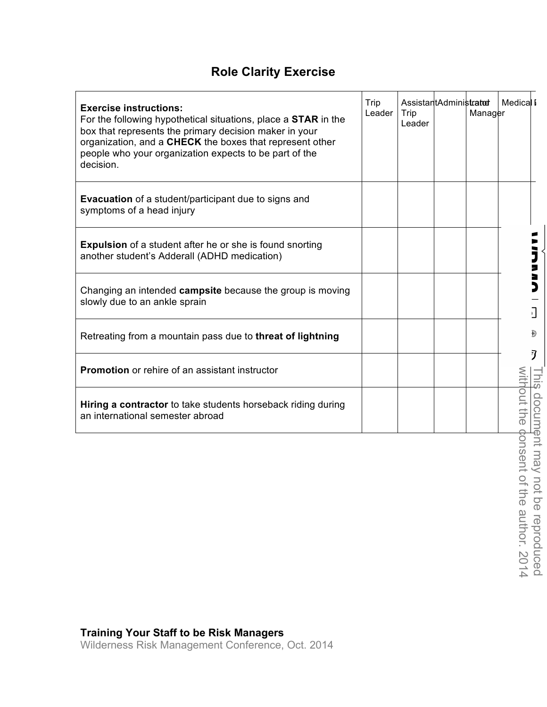## **Role Clarity Exercise**

| <b>Exercise instructions:</b><br>For the following hypothetical situations, place a <b>STAR</b> in the<br>box that represents the primary decision maker in your<br>organization, and a CHECK the boxes that represent other<br>people who your organization expects to be part of the<br>decision. | Trip<br>Leader | AssistantAdministrator<br>Trip<br>Leader | Manager | <b>Medical I</b>  |         |
|-----------------------------------------------------------------------------------------------------------------------------------------------------------------------------------------------------------------------------------------------------------------------------------------------------|----------------|------------------------------------------|---------|-------------------|---------|
| <b>Evacuation</b> of a student/participant due to signs and<br>symptoms of a head injury                                                                                                                                                                                                            |                |                                          |         |                   |         |
| <b>Expulsion</b> of a student after he or she is found snorting<br>another student's Adderall (ADHD medication)                                                                                                                                                                                     |                |                                          |         |                   |         |
| Changing an intended campsite because the group is moving<br>slowly due to an ankle sprain                                                                                                                                                                                                          |                |                                          |         |                   |         |
| Retreating from a mountain pass due to threat of lightning                                                                                                                                                                                                                                          |                |                                          |         |                   |         |
| <b>Promotion</b> or rehire of an assistant instructor                                                                                                                                                                                                                                               |                |                                          |         |                   |         |
| Hiring a contractor to take students horseback riding during<br>an international semester abroad                                                                                                                                                                                                    |                |                                          |         | out<br><b>TIG</b> | $\circ$ |
|                                                                                                                                                                                                                                                                                                     |                |                                          |         |                   |         |